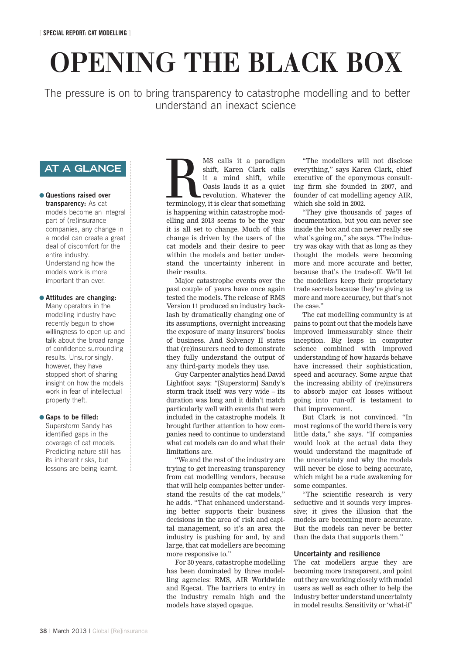# **OPENING THE BLACK BOX**

The pressure is on to bring transparency to catastrophe modelling and to better understand an inexact science

### **AT A GLANCE**

#### ● Questions raised over transparency: As cat models become an integral part of (re)insurance companies, any change in a model can create a great deal of discomfort for the entire industry. Understanding how the models work is more important than ever.

#### ● Attitudes are changing:

Many operators in the modelling industry have recently begun to show willingness to open up and talk about the broad range of confidence surrounding results. Unsurprisingly, however, they have stopped short of sharing insight on how the models work in fear of intellectual property theft.

#### ● Gaps to be filled:

Superstorm Sandy has identified gaps in the coverage of cat models. Predicting nature still has its inherent risks, but lessons are being learnt.

MS calls it a paradigm<br>
shift, Karen Clark calls<br>
it a mind shift, while<br>
Oasis lauds it as a quiet<br>
revolution. Whatever the<br>
terminology, it is clear that something<br>
is happening within catatronic mod shift, Karen Clark calls it a mind shift, while Oasis lauds it as a quiet revolution. Whatever the is happening within catastrophe modelling and 2013 seems to be the year it is all set to change. Much of this change is driven by the users of the cat models and their desire to peer within the models and better understand the uncertainty inherent in their results.

Major catastrophe events over the past couple of years have once again tested the models. The release of RMS Version 11 produced an industry backlash by dramatically changing one of its assumptions, overnight increasing the exposure of many insurers' books of business. And Solvency II states that (re)insurers need to demonstrate they fully understand the output of any third-party models they use.

Guy Carpenter analytics head David Lightfoot says: "[Superstorm] Sandy's storm track itself was very wide – its duration was long and it didn't match particularly well with events that were included in the catastrophe models. It brought further attention to how companies need to continue to understand what cat models can do and what their limitations are.

"We and the rest of the industry are trying to get increasing transparency from cat modelling vendors, because that will help companies better understand the results of the cat models," he adds. "That enhanced understanding better supports their business decisions in the area of risk and capital management, so it's an area the industry is pushing for and, by and large, that cat modellers are becoming more responsive to."

For 30 years, catastrophe modelling has been dominated by three modelling agencies: RMS, AIR Worldwide and Eqecat. The barriers to entry in the industry remain high and the models have stayed opaque.

"The modellers will not disclose everything," says Karen Clark, chief executive of the eponymous consulting firm she founded in 2007, and founder of cat modelling agency AIR, which she sold in 2002.

"They give thousands of pages of documentation, but you can never see inside the box and can never really see what's going on," she says. "The industry was okay with that as long as they thought the models were becoming more and more accurate and better, because that's the trade-off. We'll let the modellers keep their proprietary trade secrets because they're giving us more and more accuracy, but that's not the case."

The cat modelling community is at pains to point out that the models have improved immeasurably since their inception. Big leaps in computer science combined with improved understanding of how hazards behave have increased their sophistication, speed and accuracy. Some argue that the increasing ability of (re)insurers to absorb major cat losses without going into run-off is testament to that improvement.

But Clark is not convinced. "In most regions of the world there is very little data," she says. "If companies would look at the actual data they would understand the magnitude of the uncertainty and why the models will never be close to being accurate, which might be a rude awakening for some companies.

"The scientific research is very seductive and it sounds very impressive; it gives the illusion that the models are becoming more accurate. But the models can never be better than the data that supports them."

#### Uncertainty and resilience

The cat modellers argue they are becoming more transparent, and point out they are working closely with model users as well as each other to help the industry better understand uncertainty in model results. Sensitivity or 'what-if'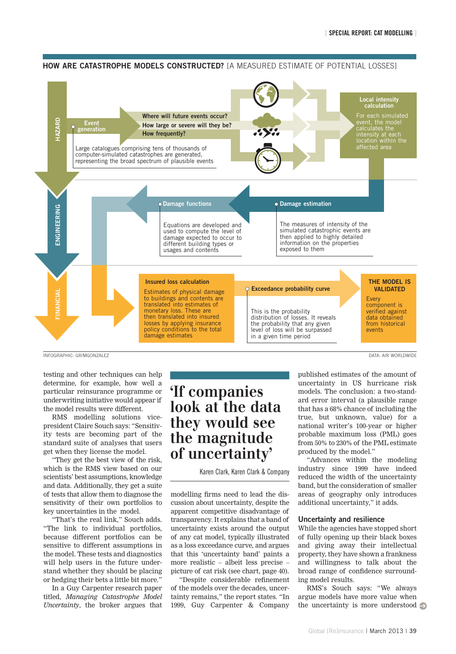#### **HOW ARE CATASTROPHE MODELS CONSTRUCTED?** [A MEASURED ESTIMATE OF POTENTIAL LOSSES]



INFOGRAPHIC: GR/MGONZALEZ DATA: AIR WORLDWIDE

testing and other techniques can help determine, for example, how well a particular reinsurance programme or underwriting initiative would appear if the model results were different.

RMS modelling solutions vicepresident Claire Souch says: "Sensitivity tests are becoming part of the standard suite of analyses that users get when they license the model.

"They get the best view of the risk, which is the RMS view based on our scientists' best assumptions, knowledge and data. Additionally, they get a suite of tests that allow them to diagnose the sensitivity of their own portfolios to key uncertainties in the model.

"That's the real link," Souch adds. "The link to individual portfolios, because different portfolios can be sensitive to different assumptions in the model. These tests and diagnostics will help users in the future understand whether they should be placing or hedging their bets a little bit more."

In a Guy Carpenter research paper titled, *Managing Catastrophe Model Uncertainty*, the broker argues that

## **'If companies look at the data they would see the magnitude of uncertainty'**

Karen Clark, Karen Clark & Company

modelling firms need to lead the discussion about uncertainty, despite the apparent competitive disadvantage of transparency. It explains that a band of uncertainty exists around the output of any cat model, typically illustrated as a loss exceedance curve, and argues that this 'uncertainty band' paints a more realistic – albeit less precise – picture of cat risk (see chart, page 40).

"Despite considerable refinement of the models over the decades, uncertainty remains," the report states. "In 1999, Guy Carpenter & Company

published estimates of the amount of uncertainty in US hurricane risk models. The conclusion: a two-standard error interval (a plausible range that has a 68% chance of including the true, but unknown, value) for a national writer's 100-year or higher probable maximum loss (PML) goes from 50% to 230% of the PML estimate produced by the model."

"Advances within the modeling industry since 1999 have indeed reduced the width of the uncertainty band, but the consideration of smaller areas of geography only introduces additional uncertainty," it adds.

#### Uncertainty and resilience

While the agencies have stopped short of fully opening up their black boxes and giving away their intellectual property, they have shown a frankness and willingness to talk about the broad range of confidence surrounding model results.

RMS's Souch says: "We always argue models have more value when the uncertainty is more understood  $\Rightarrow$